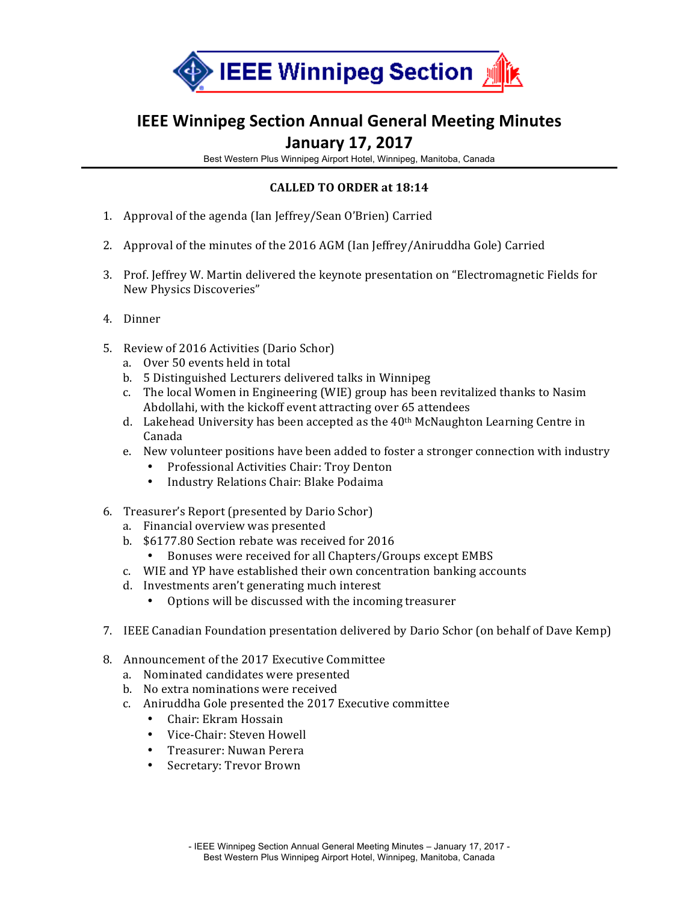

## **IEEE Winnipeg Section Annual General Meeting Minutes**

## **January 17, 2017**

Best Western Plus Winnipeg Airport Hotel, Winnipeg, Manitoba, Canada

## **CALLED TO ORDER at 18:14**

- 1. Approval of the agenda (Ian Jeffrey/Sean O'Brien) Carried
- 2. Approval of the minutes of the 2016 AGM (Ian Jeffrey/Aniruddha Gole) Carried
- 3. Prof. Jeffrey W. Martin delivered the keynote presentation on "Electromagnetic Fields for New Physics Discoveries"
- 4. Dinner
- 5. Review of 2016 Activities (Dario Schor)
	- a. Over 50 events held in total
	- b. 5 Distinguished Lecturers delivered talks in Winnipeg
	- c. The local Women in Engineering (WIE) group has been revitalized thanks to Nasim Abdollahi, with the kickoff event attracting over 65 attendees
	- d. Lakehead University has been accepted as the  $40<sup>th</sup>$  McNaughton Learning Centre in Canada
	- e. New volunteer positions have been added to foster a stronger connection with industry
		- Professional Activities Chair: Troy Denton
		- Industry Relations Chair: Blake Podaima
- 6. Treasurer's Report (presented by Dario Schor)
	- a. Financial overview was presented
	- b. \$6177.80 Section rebate was received for 2016
		- Bonuses were received for all Chapters/Groups except EMBS
	- c. WIE and YP have established their own concentration banking accounts
	- d. Investments aren't generating much interest
		- Options will be discussed with the incoming treasurer
- 7. IEEE Canadian Foundation presentation delivered by Dario Schor (on behalf of Dave Kemp)
- 8. Announcement of the 2017 Executive Committee
	- a. Nominated candidates were presented
	- b. No extra nominations were received
	- c. Aniruddha Gole presented the 2017 Executive committee
		- Chair: Ekram Hossain
		- Vice-Chair: Steven Howell
		- Treasurer: Nuwan Perera
		- Secretary: Trevor Brown